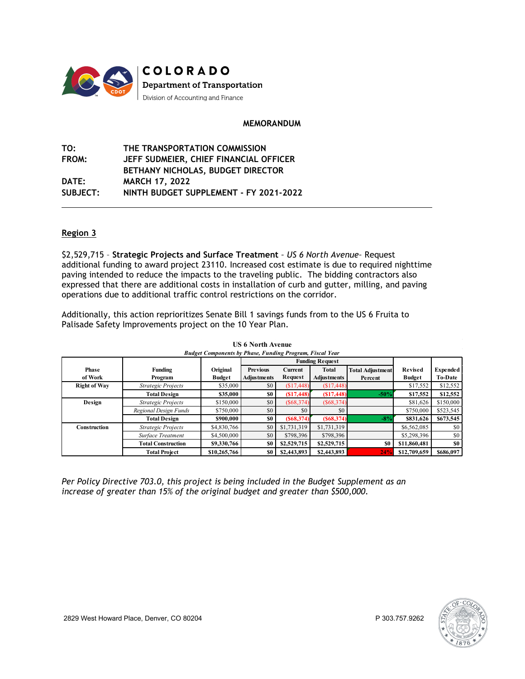

## **MEMORANDUM**

| TO:             | THE TRANSPORTATION COMMISSION          |
|-----------------|----------------------------------------|
| <b>FROM:</b>    | JEFF SUDMEIER, CHIEF FINANCIAL OFFICER |
|                 | BETHANY NICHOLAS, BUDGET DIRECTOR      |
| <b>DATE:</b>    | <b>MARCH 17, 2022</b>                  |
| <b>SUBJECT:</b> | NINTH BUDGET SUPPLEMENT - FY 2021-2022 |

## **Region 3**

\$2,529,715 – **Strategic Projects and Surface Treatment** *– US 6 North Avenue–* Request additional funding to award project 23110. Increased cost estimate is due to required nighttime paving intended to reduce the impacts to the traveling public. The bidding contractors also expressed that there are additional costs in installation of curb and gutter, milling, and paving operations due to additional traffic control restrictions on the corridor.

Additionally, this action reprioritizes Senate Bill 1 savings funds from to the US 6 Fruita to Palisade Safety Improvements project on the 10 Year Plan.

|                     |                           |               | <b>Budget Components by Phase, Funding Program, Fiscal Year</b> |                |                        |                         |                |                 |
|---------------------|---------------------------|---------------|-----------------------------------------------------------------|----------------|------------------------|-------------------------|----------------|-----------------|
|                     |                           |               |                                                                 |                | <b>Funding Request</b> |                         |                |                 |
| <b>Phase</b>        | <b>Funding</b>            | Original      | <b>Previous</b>                                                 | <b>Current</b> | Total                  | <b>Total Adjustment</b> | <b>Revised</b> | <b>Expended</b> |
| of Work             | Program                   | <b>Budget</b> | <b>Adiustments</b>                                              | Request        | Adjustments            | Percent                 | <b>Budget</b>  | <b>To-Date</b>  |
| <b>Right of Way</b> | Strategic Projects        | \$35,000      | \$0                                                             | (\$17,448)     | (S17, 448)             |                         | \$17,552       | \$12,552        |
|                     | <b>Total Design</b>       | \$35,000      | \$0                                                             | (S17, 448)     | (S17, 448)             | $-50%$                  | \$17,552       | \$12,552        |
| Design              | Strategic Projects        | \$150,000     | \$0                                                             | (S68, 374)     | (S68, 374)             |                         | \$81,626       | \$150,000       |
|                     | Regional Design Funds     | \$750,000     | \$0                                                             | \$0            | \$0                    |                         | \$750,000      | \$523,545       |
|                     | <b>Total Design</b>       | \$900,000     | \$0                                                             | (S68, 374)     | (S68, 374)             | $-8%$                   | \$831,626      | \$673,545       |
| Construction        | Strategic Projects        | \$4,830,766   | \$0                                                             | \$1,731,319    | \$1,731,319            |                         | \$6,562,085    | SO.             |
|                     | Surface Treatment         | \$4,500,000   | \$0                                                             | \$798,396      | \$798,396              |                         | \$5,298,396    | \$0             |
|                     | <b>Total Construction</b> | \$9,330,766   | \$0                                                             | \$2,529,715    | \$2,529,715            | \$0                     | \$11,860,481   | \$0             |
|                     | <b>Total Project</b>      | \$10,265,766  | \$0                                                             | \$2,443,893    | \$2,443,893            | 24%                     | \$12,709,659   | \$686,097       |

**US 6 North Avenue**

*Per Policy Directive 703.0, this project is being included in the Budget Supplement as an increase of greater than 15% of the original budget and greater than \$500,000.*

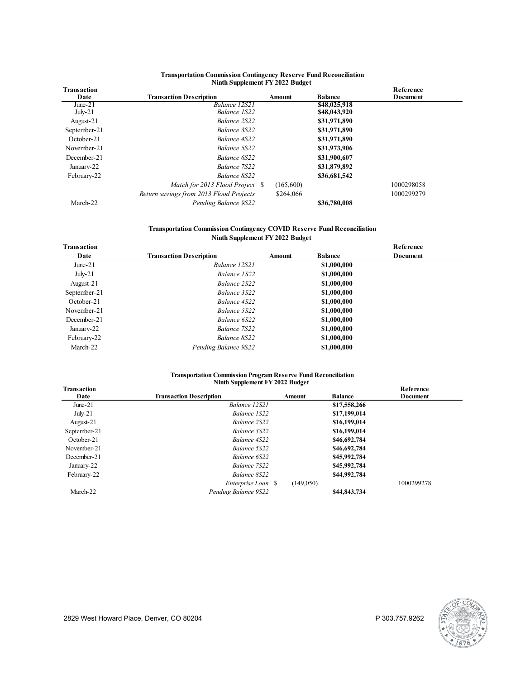#### **Transportation Commission Contingency Reserve Fund Reconciliation Ninth Supplement FY 2022 Budget**

| Transaction  |                                         |           |                | Reference  |  |
|--------------|-----------------------------------------|-----------|----------------|------------|--|
| Date         | <b>Transaction Description</b>          | Amount    | <b>Balance</b> | Document   |  |
| June- $21$   | Balance 12S21                           |           | \$48,025,918   |            |  |
| $July-21$    | Balance 1S22                            |           | \$48,043,920   |            |  |
| August-21    | Balance 2S22                            |           | \$31,971,890   |            |  |
| September-21 | Balance 3S22                            |           | \$31,971,890   |            |  |
| October-21   | Balance 4S22                            |           | \$31,971,890   |            |  |
| November-21  | Balance 5S22                            |           | \$31,973,906   |            |  |
| December-21  | Balance 6S22                            |           | \$31,900,607   |            |  |
| January-22   | Balance 7S22                            |           | \$31,879,892   |            |  |
| February-22  | Balance 8S22                            |           | \$36,681,542   |            |  |
|              | Match for 2013 Flood Project \$         | (165,600) |                | 1000298058 |  |
|              | Return savings from 2013 Flood Projects | \$264,066 |                | 1000299279 |  |
| March-22     | Pending Balance 9S22                    |           | \$36,780,008   |            |  |

### **Transportation Commission Contingency COVID Reserve Fund Reconciliation Ninth Supplement FY 2022 Budget**

| Transaction  |                                |        |                | Reference |  |
|--------------|--------------------------------|--------|----------------|-----------|--|
| Date         | <b>Transaction Description</b> | Amount | <b>Balance</b> | Document  |  |
| June- $21$   | Balance 12S21                  |        | \$1,000,000    |           |  |
| $July-21$    | Balance 1S22                   |        | \$1,000,000    |           |  |
| August-21    | Balance 2S22                   |        | \$1,000,000    |           |  |
| September-21 | Balance 3S22                   |        | \$1,000,000    |           |  |
| October-21   | Balance 4S22                   |        | \$1,000,000    |           |  |
| November-21  | Balance 5S22                   |        | \$1,000,000    |           |  |
| December-21  | Balance 6S22                   |        | \$1,000,000    |           |  |
| January-22   | Balance 7S22                   |        | \$1,000,000    |           |  |
| February-22  | Balance 8S22                   |        | \$1,000,000    |           |  |
| March-22     | Pending Balance 9S22           |        | \$1,000,000    |           |  |

#### **Transportation Commission Program Reserve Fund Reconciliation Ninth Supplement FY 2022 Budget**

| <b>Transaction</b> |                                |           |                | Reference  |
|--------------------|--------------------------------|-----------|----------------|------------|
| Date               | <b>Transaction Description</b> | Amount    | <b>Balance</b> | Document   |
| June- $21$         | Balance 12S21                  |           | \$17,558,266   |            |
| $July-21$          | Balance 1S22                   |           | \$17,199,014   |            |
| August-21          | Balance 2S22                   |           | \$16,199,014   |            |
| September-21       | Balance 3S22                   |           | \$16,199,014   |            |
| October-21         | Balance 4S22                   |           | \$46,692,784   |            |
| November-21        | Balance 5S22                   |           | \$46,692,784   |            |
| December-21        | Balance 6S22                   |           | \$45,992,784   |            |
| January-22         | Balance 7S22                   |           | \$45,992,784   |            |
| February-22        | Balance 8S22                   |           | \$44,992,784   |            |
|                    | Enterprise Loan \\$            | (149,050) |                | 1000299278 |
| March-22           | Pending Balance 9S22           |           | \$44,843,734   |            |

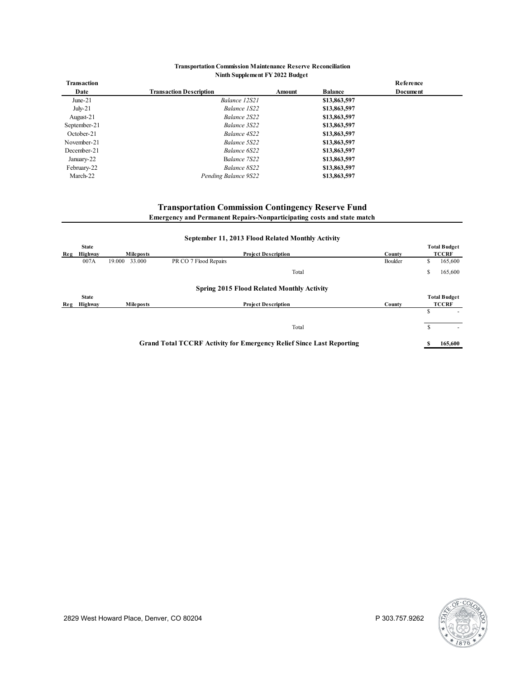### **Transportation Commission Maintenance Reserve Reconciliation Ninth Supplement FY 2022 Budget**

|                                |        |                | Reference       |  |
|--------------------------------|--------|----------------|-----------------|--|
| <b>Transaction Description</b> | Amount | <b>Balance</b> | <b>Document</b> |  |
| Balance 12S21                  |        | \$13,863,597   |                 |  |
| Balance 1S22                   |        | \$13,863,597   |                 |  |
| Balance 2S22                   |        | \$13,863,597   |                 |  |
| Balance 3S22                   |        | \$13,863,597   |                 |  |
| Balance 4S22                   |        | \$13,863,597   |                 |  |
| Balance 5S22                   |        | \$13,863,597   |                 |  |
| Balance 6S22                   |        | \$13,863,597   |                 |  |
| Balance 7S22                   |        | \$13,863,597   |                 |  |
| Balance 8S22                   |        | \$13,863,597   |                 |  |
| Pending Balance 9S22           |        | \$13,863,597   |                 |  |
|                                |        |                |                 |  |

# **Transportation Commission Contingency Reserve Fund Emergency and Permanent Repairs-Nonparticipating costs and state match**

|     |              |                  | September 11, 2013 Flood Related Monthly Activity                           |       |         |    |                     |
|-----|--------------|------------------|-----------------------------------------------------------------------------|-------|---------|----|---------------------|
|     | <b>State</b> |                  |                                                                             |       |         |    | <b>Total Budget</b> |
| Reg | Highway      | <b>Mileposts</b> | <b>Project Description</b>                                                  |       | County  |    | <b>TCCRF</b>        |
|     | 007A         | 33.000<br>19.000 | PR CO 7 Flood Repairs                                                       |       | Boulder | S  | 165,600             |
|     |              |                  |                                                                             | Total |         | S  | 165,600             |
|     |              |                  | <b>Spring 2015 Flood Related Monthly Activity</b>                           |       |         |    |                     |
|     | <b>State</b> |                  |                                                                             |       |         |    | <b>Total Budget</b> |
| Reg | Highway      | <b>Mileposts</b> | <b>Project Description</b>                                                  |       | County  |    | <b>TCCRF</b>        |
|     |              |                  |                                                                             |       |         | Ś  |                     |
|     |              |                  |                                                                             | Total |         | \$ |                     |
|     |              |                  | <b>Grand Total TCCRF Activity for Emergency Relief Since Last Reporting</b> |       |         |    | 165,600             |